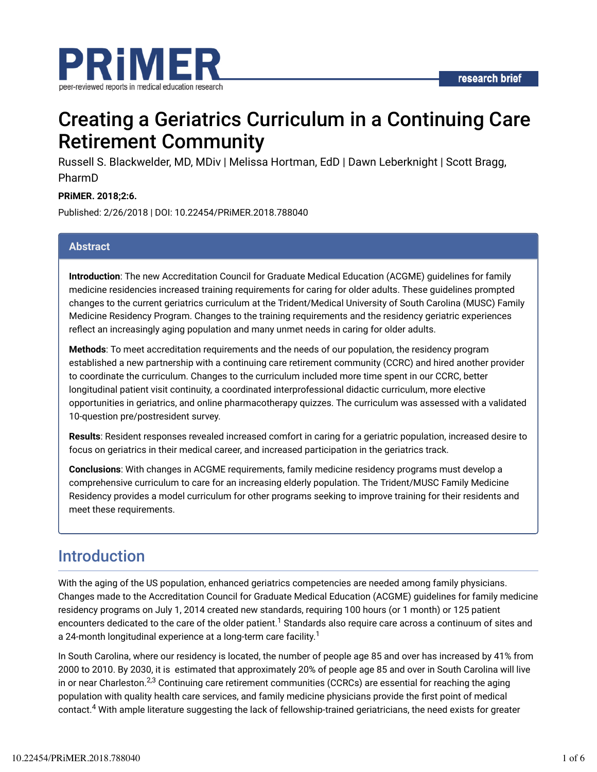

# Creating a Geriatrics Curriculum in a Continuing Care Retirement Community

Russell S. Blackwelder, MD, MDiv | Melissa Hortman, EdD | Dawn Leberknight | Scott Bragg, PharmD

**PRiMER. 2018;2:6.**

Published: 2/26/2018 | DOI: 10.22454/PRiMER.2018.788040

#### **Abstract**

**Introduction**: The new Accreditation Council for Graduate Medical Education (ACGME) guidelines for family medicine residencies increased training requirements for caring for older adults. These guidelines prompted changes to the current geriatrics curriculum at the Trident/Medical University of South Carolina (MUSC) Family Medicine Residency Program. Changes to the training requirements and the residency geriatric experiences reflect an increasingly aging population and many unmet needs in caring for older adults.

**Methods**: To meet accreditation requirements and the needs of our population, the residency program established a new partnership with a continuing care retirement community (CCRC) and hired another provider to coordinate the curriculum. Changes to the curriculum included more time spent in our CCRC, better longitudinal patient visit continuity, a coordinated interprofessional didactic curriculum, more elective opportunities in geriatrics, and online pharmacotherapy quizzes. The curriculum was assessed with a validated 10-question pre/postresident survey.

**Results**: Resident responses revealed increased comfort in caring for a geriatric population, increased desire to focus on geriatrics in their medical career, and increased participation in the geriatrics track.

**Conclusions**: With changes in ACGME requirements, family medicine residency programs must develop a comprehensive curriculum to care for an increasing elderly population. The Trident/MUSC Family Medicine Residency provides a model curriculum for other programs seeking to improve training for their residents and meet these requirements.

## Introduction

With the aging of the US population, enhanced geriatrics competencies are needed among family physicians. Changes made to the Accreditation Council for Graduate Medical Education (ACGME) guidelines for family medicine residency programs on July 1, 2014 created new standards, requiring 100 hours (or 1 month) or 125 patient encounters dedicated to the care of the older patient. $^1$  Standards also require care across a continuum of sites and a 24-month longitudinal experience at a long-term care facility. $^{\rm 1}$ 

In South Carolina, where our residency is located, the number of people age 85 and over has increased by 41% from 2000 to 2010. By 2030, it is estimated that approximately 20% of people age 85 and over in South Carolina will live in or near Charleston. $^{2,3}$  Continuing care retirement communities (CCRCs) are essential for reaching the aging population with quality health care services, and family medicine physicians provide the first point of medical contact.<sup>4</sup> With ample literature suggesting the lack of fellowship-trained geriatricians, the need exists for greater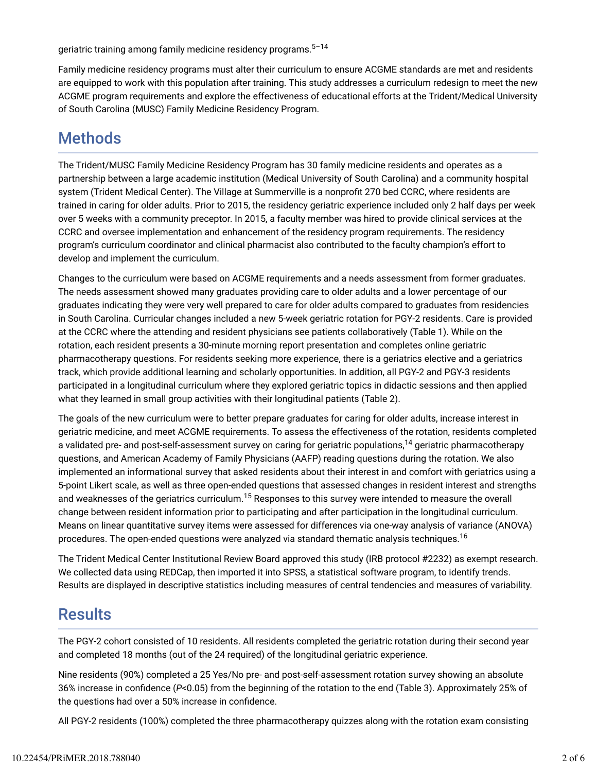geriatric training among family medicine residency programs. 5–14

Family medicine residency programs must alter their curriculum to ensure ACGME standards are met and residents are equipped to work with this population after training. This study addresses a curriculum redesign to meet the new ACGME program requirements and explore the effectiveness of educational efforts at the Trident/Medical University of South Carolina (MUSC) Family Medicine Residency Program.

## Methods

The Trident/MUSC Family Medicine Residency Program has 30 family medicine residents and operates as a partnership between a large academic institution (Medical University of South Carolina) and a community hospital system (Trident Medical Center). The Village at Summerville is a nonprofit 270 bed CCRC, where residents are trained in caring for older adults. Prior to 2015, the residency geriatric experience included only 2 half days per week over 5 weeks with a community preceptor. In 2015, a faculty member was hired to provide clinical services at the CCRC and oversee implementation and enhancement of the residency program requirements. The residency program's curriculum coordinator and clinical pharmacist also contributed to the faculty champion's effort to develop and implement the curriculum.

Changes to the curriculum were based on ACGME requirements and a needs assessment from former graduates. The needs assessment showed many graduates providing care to older adults and a lower percentage of our graduates indicating they were very well prepared to care for older adults compared to graduates from residencies in South Carolina. Curricular changes included a new 5-week geriatric rotation for PGY-2 residents. Care is provided at the CCRC where the attending and resident physicians see patients collaboratively (Table 1). While on the rotation, each resident presents a 30-minute morning report presentation and completes online geriatric pharmacotherapy questions. For residents seeking more experience, there is a geriatrics elective and a geriatrics track, which provide additional learning and scholarly opportunities. In addition, all PGY-2 and PGY-3 residents participated in a longitudinal curriculum where they explored geriatric topics in didactic sessions and then applied what they learned in small group activities with their longitudinal patients (Table 2).

The goals of the new curriculum were to better prepare graduates for caring for older adults, increase interest in geriatric medicine, and meet ACGME requirements. To assess the effectiveness of the rotation, residents completed a validated pre- and post-self-assessment survey on caring for geriatric populations,<sup>14</sup> geriatric pharmacotherapy questions, and American Academy of Family Physicians (AAFP) reading questions during the rotation. We also implemented an informational survey that asked residents about their interest in and comfort with geriatrics using a 5-point Likert scale, as well as three open-ended questions that assessed changes in resident interest and strengths and weaknesses of the geriatrics curriculum.<sup>15</sup> Responses to this survey were intended to measure the overall change between resident information prior to participating and after participation in the longitudinal curriculum. Means on linear quantitative survey items were assessed for differences via one-way analysis of variance (ANOVA) procedures. The open-ended questions were analyzed via standard thematic analysis techniques.<sup>16</sup>

The Trident Medical Center Institutional Review Board approved this study (IRB protocol #2232) as exempt research. We collected data using REDCap, then imported it into SPSS, a statistical software program, to identify trends. Results are displayed in descriptive statistics including measures of central tendencies and measures of variability.

## **Results**

The PGY-2 cohort consisted of 10 residents. All residents completed the geriatric rotation during their second year and completed 18 months (out of the 24 required) of the longitudinal geriatric experience.

Nine residents (90%) completed a 25 Yes/No pre- and post-self-assessment rotation survey showing an absolute 36% increase in confidence (P<0.05) from the beginning of the rotation to the end (Table 3). Approximately 25% of the questions had over a 50% increase in confidence.

All PGY-2 residents (100%) completed the three pharmacotherapy quizzes along with the rotation exam consisting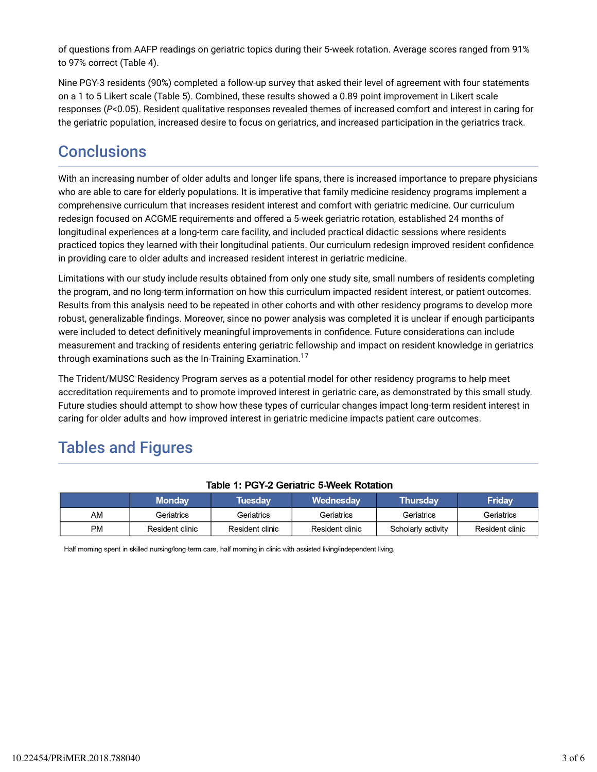of questions from AAFP readings on geriatric topics during their 5-week rotation. Average scores ranged from 91% to 97% correct (Table 4).

Nine PGY-3 residents (90%) completed a follow-up survey that asked their level of agreement with four statements on a 1 to 5 Likert scale (Table 5). Combined, these results showed a 0.89 point improvement in Likert scale responses (*P*<0.05). Resident qualitative responses revealed themes of increased comfort and interest in caring for the geriatric population, increased desire to focus on geriatrics, and increased participation in the geriatrics track.

### **Conclusions**

With an increasing number of older adults and longer life spans, there is increased importance to prepare physicians who are able to care for elderly populations. It is imperative that family medicine residency programs implement a comprehensive curriculum that increases resident interest and comfort with geriatric medicine. Our curriculum redesign focused on ACGME requirements and offered a 5-week geriatric rotation, established 24 months of longitudinal experiences at a long-term care facility, and included practical didactic sessions where residents practiced topics they learned with their longitudinal patients. Our curriculum redesign improved resident confidence in providing care to older adults and increased resident interest in geriatric medicine.

Limitations with our study include results obtained from only one study site, small numbers of residents completing the program, and no long-term information on how this curriculum impacted resident interest, or patient outcomes. Results from this analysis need to be repeated in other cohorts and with other residency programs to develop more robust, generalizable findings. Moreover, since no power analysis was completed it is unclear if enough participants were included to detect definitively meaningful improvements in confidence. Future considerations can include measurement and tracking of residents entering geriatric fellowship and impact on resident knowledge in geriatrics through examinations such as the In-Training Examination. 17

The Trident/MUSC Residency Program serves as a potential model for other residency programs to help meet accreditation requirements and to promote improved interest in geriatric care, as demonstrated by this small study. Future studies should attempt to show how these types of curricular changes impact long-term resident interest in caring for older adults and how improved interest in geriatric medicine impacts patient care outcomes.

## Tables and Figures

|           | <b>Monday</b>   | Tuesdav         | <b>Wednesdav</b> | <b>Thursday</b>    | Friday          |
|-----------|-----------------|-----------------|------------------|--------------------|-----------------|
| AM        | Geriatrics      | Geriatrics      | Geriatrics       | Geriatrics         | Geriatrics      |
| <b>PM</b> | Resident clinic | Resident clinic | Resident clinic  | Scholarly activity | Resident clinic |

#### Table 1: PGY-2 Geriatric 5-Week Rotation

Half morning spent in skilled nursing/long-term care, half morning in clinic with assisted living/independent living.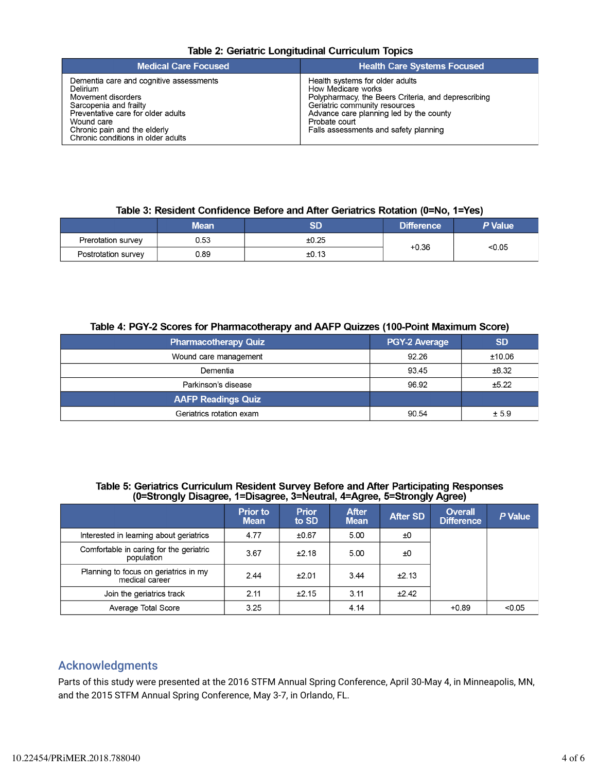|  | Table 2: Geriatric Longitudinal Curriculum Topics |  |
|--|---------------------------------------------------|--|
|  |                                                   |  |

| <b>Medical Care Focused</b>                                                                                                                                                                                                   | <b>Health Care Systems Focused</b>                                                                                                                                                                                                                 |
|-------------------------------------------------------------------------------------------------------------------------------------------------------------------------------------------------------------------------------|----------------------------------------------------------------------------------------------------------------------------------------------------------------------------------------------------------------------------------------------------|
| Dementia care and cognitive assessments<br>Delirium<br>Movement disorders<br>Sarcopenia and frailty<br>Preventative care for older adults<br>Wound care<br>Chronic pain and the elderly<br>Chronic conditions in older adults | Health systems for older adults<br>How Medicare works<br>Polypharmacy, the Beers Criteria, and deprescribing<br>Geriatric community resources<br>Advance care planning led by the county<br>Probate court<br>Falls assessments and safety planning |

#### Table 3: Resident Confidence Before and After Geriatrics Rotation (0=No, 1=Yes)

|                     | Mean | SD    | Difference | P Value |  |
|---------------------|------|-------|------------|---------|--|
| Prerotation survey  | 0.53 | ±0.25 | $+0.36$    | < 0.05  |  |
| Postrotation survey | 0.89 | ±0.13 |            |         |  |

#### Table 4: PGY-2 Scores for Pharmacotherapy and AAFP Quizzes (100-Point Maximum Score)

| <b>Pharmacotherapy Quiz</b> | PGY-2 Average | <b>SD</b> |
|-----------------------------|---------------|-----------|
| Wound care management       | 92.26         | ±10.06    |
| Dementia                    | 93.45         | ±8.32     |
| Parkinson's disease         | 96.92         | ±5.22     |
| <b>AAFP Readings Quiz</b>   |               |           |
| Geriatrics rotation exam    | 90.54         | ± 5.9     |

#### Table 5: Geriatrics Curriculum Resident Survey Before and After Participating Responses (0=Strongly Disagree, 1=Disagree, 3=Neutral, 4=Agree, 5=Strongly Agree)

|                                                         | <b>Prior to</b><br><b>Mean</b> | <b>Prior</b><br>to SD | <b>After</b><br><b>Mean</b> | <b>After SD</b> | <b>Overall</b><br><b>Difference</b> | P Value |
|---------------------------------------------------------|--------------------------------|-----------------------|-----------------------------|-----------------|-------------------------------------|---------|
| Interested in learning about geriatrics                 | 4.77                           | ±0.67                 | 5.00                        | ±Ο              |                                     |         |
| Comfortable in caring for the geriatric<br>population   | 3.67                           | ±2.18                 | 5.00                        | ±0              |                                     |         |
| Planning to focus on geriatrics in my<br>medical career | 2.44                           | $+2.01$               | 3.44                        | ±2.13           |                                     |         |
| Join the geriatrics track                               | 2.11                           | ±2.15                 | 3.11                        | ±2.42           |                                     |         |
| Average Total Score                                     | 3.25                           |                       | 4.14                        |                 | $+0.89$                             | < 0.05  |

### Acknowledgments

Parts of this study were presented at the 2016 STFM Annual Spring Conference, April 30-May 4, in Minneapolis, MN, and the 2015 STFM Annual Spring Conference, May 3-7, in Orlando, FL.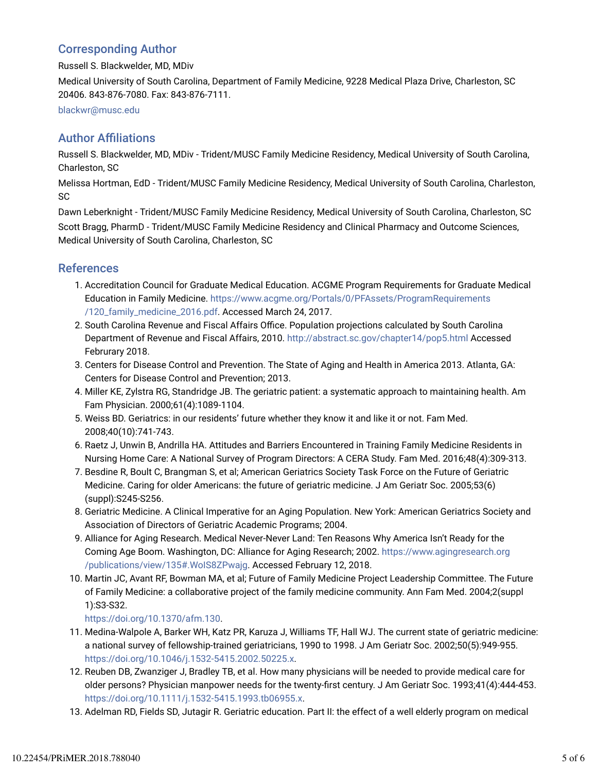### Corresponding Author

Russell S. Blackwelder, MD, MDiv

Medical University of South Carolina, Department of Family Medicine, 9228 Medical Plaza Drive, Charleston, SC 20406. 843-876-7080. Fax: 843-876-7111.

blackwr@musc.edu

### **Author Affiliations**

Russell S. Blackwelder, MD, MDiv - Trident/MUSC Family Medicine Residency, Medical University of South Carolina, Charleston, SC

Melissa Hortman, EdD - Trident/MUSC Family Medicine Residency, Medical University of South Carolina, Charleston, SC

Dawn Leberknight - Trident/MUSC Family Medicine Residency, Medical University of South Carolina, Charleston, SC Scott Bragg, PharmD - Trident/MUSC Family Medicine Residency and Clinical Pharmacy and Outcome Sciences, Medical University of South Carolina, Charleston, SC

### References

- Accreditation Council for Graduate Medical Education. ACGME Program Requirements for Graduate Medical 1. Education in Family Medicine. https://www.acgme.org/Portals/0/PFAssets/ProgramRequirements /120\_family\_medicine\_2016.pdf. Accessed March 24, 2017.
- 2. South Carolina Revenue and Fiscal Affairs Office. Population projections calculated by South Carolina Department of Revenue and Fiscal Affairs, 2010. http://abstract.sc.gov/chapter14/pop5.html Accessed Februrary 2018.
- 3. Centers for Disease Control and Prevention. The State of Aging and Health in America 2013. Atlanta, GA: Centers for Disease Control and Prevention; 2013.
- Miller KE, Zylstra RG, Standridge JB. The geriatric patient: a systematic approach to maintaining health. Am 4. Fam Physician. 2000;61(4):1089-1104.
- 5. Weiss BD. Geriatrics: in our residents' future whether they know it and like it or not. Fam Med. 2008;40(10):741-743.
- 6. Raetz J, Unwin B, Andrilla HA. Attitudes and Barriers Encountered in Training Family Medicine Residents in Nursing Home Care: A National Survey of Program Directors: A CERA Study. Fam Med. 2016;48(4):309-313.
- 7. Besdine R, Boult C, Brangman S, et al; American Geriatrics Society Task Force on the Future of Geriatric Medicine. Caring for older Americans: the future of geriatric medicine. J Am Geriatr Soc. 2005;53(6) (suppl):S245-S256.
- Geriatric Medicine. A Clinical Imperative for an Aging Population. New York: American Geriatrics Society and 8. Association of Directors of Geriatric Academic Programs; 2004.
- Alliance for Aging Research. Medical Never-Never Land: Ten Reasons Why America Isn't Ready for the 9. Coming Age Boom. Washington, DC: Alliance for Aging Research; 2002. https://www.agingresearch.org /publications/view/135#.WoIS8ZPwajg. Accessed February 12, 2018.
- 10. Martin JC, Avant RF, Bowman MA, et al; Future of Family Medicine Project Leadership Committee. The Future of Family Medicine: a collaborative project of the family medicine community. Ann Fam Med. 2004;2(suppl 1):S3-S32.

https://doi.org/10.1370/afm.130.

- 11. Medina-Walpole A, Barker WH, Katz PR, Karuza J, Williams TF, Hall WJ. The current state of geriatric medicine: a national survey of fellowship-trained geriatricians, 1990 to 1998. J Am Geriatr Soc. 2002;50(5):949-955. https://doi.org/10.1046/j.1532-5415.2002.50225.x.
- 12. Reuben DB, Zwanziger J, Bradley TB, et al. How many physicians will be needed to provide medical care for older persons? Physician manpower needs for the twenty-first century. J Am Geriatr Soc. 1993;41(4):444-453. https://doi.org/10.1111/j.1532-5415.1993.tb06955.x.
- 13. Adelman RD, Fields SD, Jutagir R. Geriatric education. Part II: the effect of a well elderly program on medical